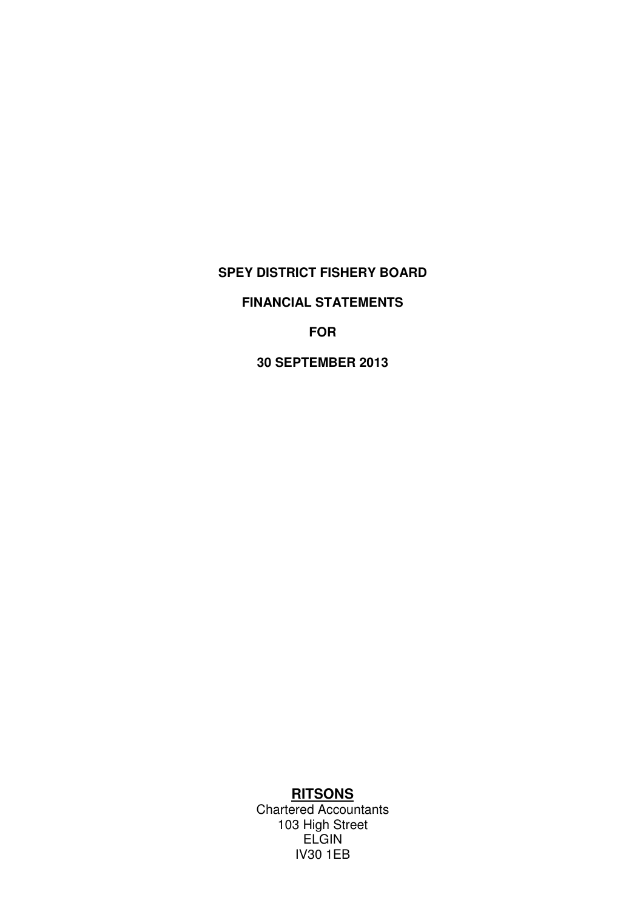## **FINANCIAL STATEMENTS**

**FOR**

**30 SEPTEMBER 2013**

# **RITSONS**

Chartered Accountants 103 High Street **ELGIN** IV30 1EB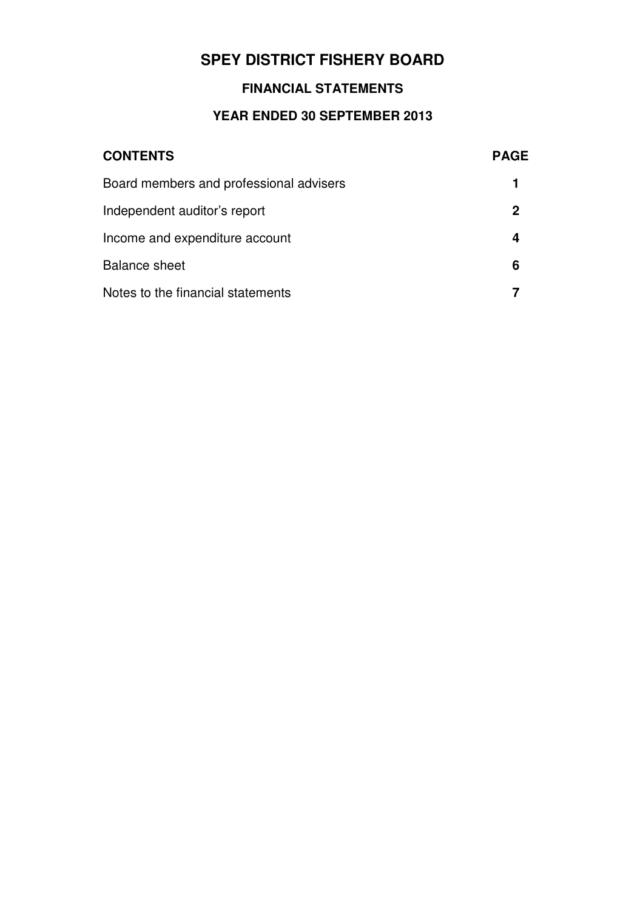## **FINANCIAL STATEMENTS**

# **YEAR ENDED 30 SEPTEMBER 2013**

| <b>CONTENTS</b>                         | <b>PAGE</b> |
|-----------------------------------------|-------------|
| Board members and professional advisers |             |
| Independent auditor's report            | 2           |
| Income and expenditure account          | 4           |
| <b>Balance sheet</b>                    | 6           |
| Notes to the financial statements       |             |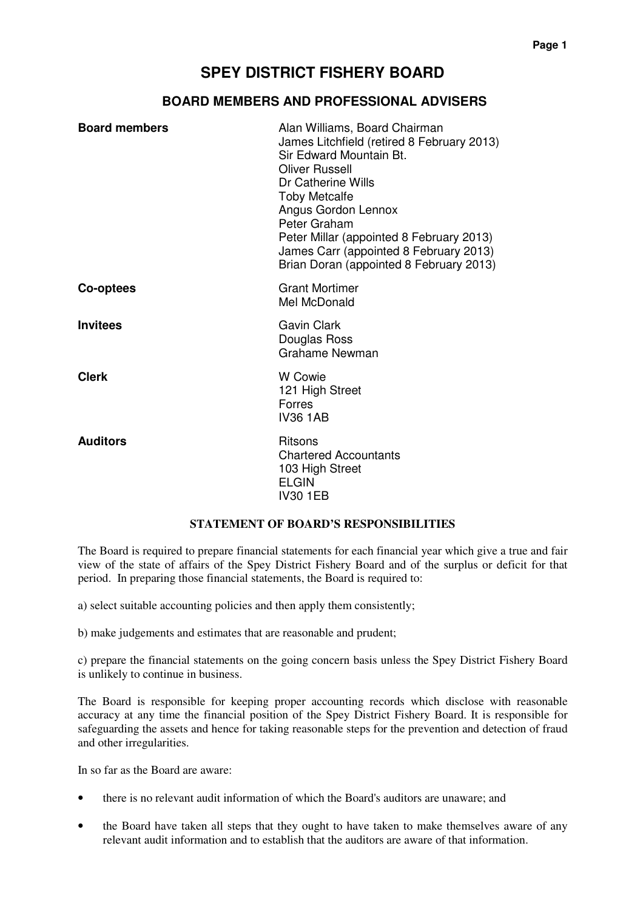### **BOARD MEMBERS AND PROFESSIONAL ADVISERS**

| <b>Board members</b> | Alan Williams, Board Chairman<br>James Litchfield (retired 8 February 2013)<br>Sir Edward Mountain Bt.<br><b>Oliver Russell</b><br>Dr Catherine Wills<br><b>Toby Metcalfe</b><br>Angus Gordon Lennox<br>Peter Graham<br>Peter Millar (appointed 8 February 2013)<br>James Carr (appointed 8 February 2013)<br>Brian Doran (appointed 8 February 2013) |
|----------------------|-------------------------------------------------------------------------------------------------------------------------------------------------------------------------------------------------------------------------------------------------------------------------------------------------------------------------------------------------------|
| Co-optees            | <b>Grant Mortimer</b><br>Mel McDonald                                                                                                                                                                                                                                                                                                                 |
| <b>Invitees</b>      | <b>Gavin Clark</b><br>Douglas Ross<br><b>Grahame Newman</b>                                                                                                                                                                                                                                                                                           |
| <b>Clerk</b>         | <b>W</b> Cowie<br>121 High Street<br><b>Forres</b><br><b>IV36 1AB</b>                                                                                                                                                                                                                                                                                 |
| <b>Auditors</b>      | <b>Ritsons</b><br><b>Chartered Accountants</b><br>103 High Street<br><b>ELGIN</b><br><b>IV30 1EB</b>                                                                                                                                                                                                                                                  |

#### **STATEMENT OF BOARD'S RESPONSIBILITIES**

The Board is required to prepare financial statements for each financial year which give a true and fair view of the state of affairs of the Spey District Fishery Board and of the surplus or deficit for that period. In preparing those financial statements, the Board is required to:

a) select suitable accounting policies and then apply them consistently;

b) make judgements and estimates that are reasonable and prudent;

c) prepare the financial statements on the going concern basis unless the Spey District Fishery Board is unlikely to continue in business.

The Board is responsible for keeping proper accounting records which disclose with reasonable accuracy at any time the financial position of the Spey District Fishery Board. It is responsible for safeguarding the assets and hence for taking reasonable steps for the prevention and detection of fraud and other irregularities.

In so far as the Board are aware:

- there is no relevant audit information of which the Board's auditors are unaware; and
- the Board have taken all steps that they ought to have taken to make themselves aware of any relevant audit information and to establish that the auditors are aware of that information.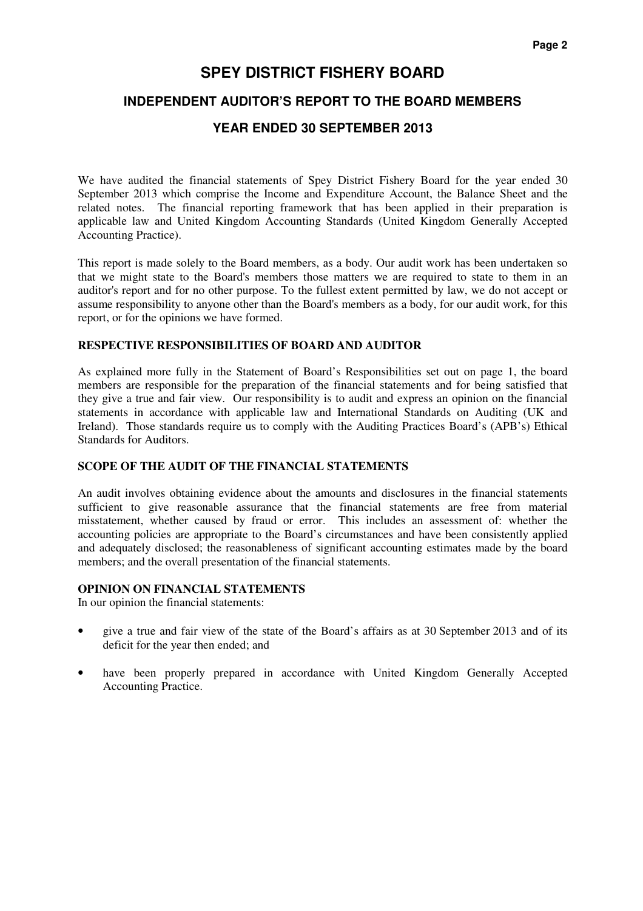### **INDEPENDENT AUDITOR'S REPORT TO THE BOARD MEMBERS**

### **YEAR ENDED 30 SEPTEMBER 2013**

We have audited the financial statements of Spey District Fishery Board for the year ended 30 September 2013 which comprise the Income and Expenditure Account, the Balance Sheet and the related notes. The financial reporting framework that has been applied in their preparation is applicable law and United Kingdom Accounting Standards (United Kingdom Generally Accepted Accounting Practice).

This report is made solely to the Board members, as a body. Our audit work has been undertaken so that we might state to the Board's members those matters we are required to state to them in an auditor's report and for no other purpose. To the fullest extent permitted by law, we do not accept or assume responsibility to anyone other than the Board's members as a body, for our audit work, for this report, or for the opinions we have formed.

#### **RESPECTIVE RESPONSIBILITIES OF BOARD AND AUDITOR**

As explained more fully in the Statement of Board's Responsibilities set out on page 1, the board members are responsible for the preparation of the financial statements and for being satisfied that they give a true and fair view. Our responsibility is to audit and express an opinion on the financial statements in accordance with applicable law and International Standards on Auditing (UK and Ireland). Those standards require us to comply with the Auditing Practices Board's (APB's) Ethical Standards for Auditors.

#### **SCOPE OF THE AUDIT OF THE FINANCIAL STATEMENTS**

An audit involves obtaining evidence about the amounts and disclosures in the financial statements sufficient to give reasonable assurance that the financial statements are free from material misstatement, whether caused by fraud or error. This includes an assessment of: whether the accounting policies are appropriate to the Board's circumstances and have been consistently applied and adequately disclosed; the reasonableness of significant accounting estimates made by the board members; and the overall presentation of the financial statements.

#### **OPINION ON FINANCIAL STATEMENTS**

In our opinion the financial statements:

- give a true and fair view of the state of the Board's affairs as at 30 September 2013 and of its deficit for the year then ended; and
- have been properly prepared in accordance with United Kingdom Generally Accepted Accounting Practice.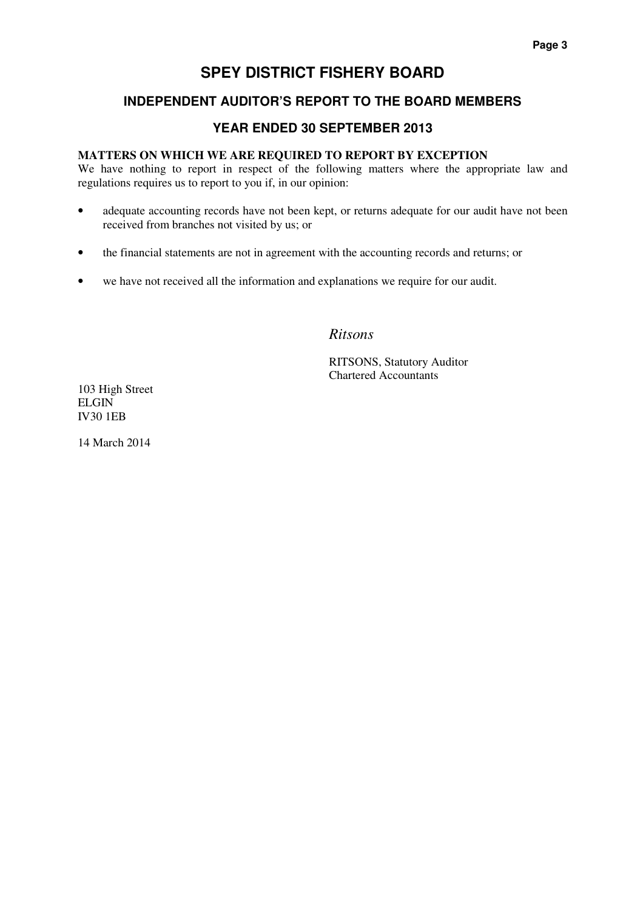## **INDEPENDENT AUDITOR'S REPORT TO THE BOARD MEMBERS**

## **YEAR ENDED 30 SEPTEMBER 2013**

#### **MATTERS ON WHICH WE ARE REQUIRED TO REPORT BY EXCEPTION**

We have nothing to report in respect of the following matters where the appropriate law and regulations requires us to report to you if, in our opinion:

- adequate accounting records have not been kept, or returns adequate for our audit have not been received from branches not visited by us; or
- the financial statements are not in agreement with the accounting records and returns; or
- we have not received all the information and explanations we require for our audit.

## *Ritsons*

RITSONS, Statutory Auditor Chartered Accountants

103 High Street ELGIN IV30 1EB

14 March 2014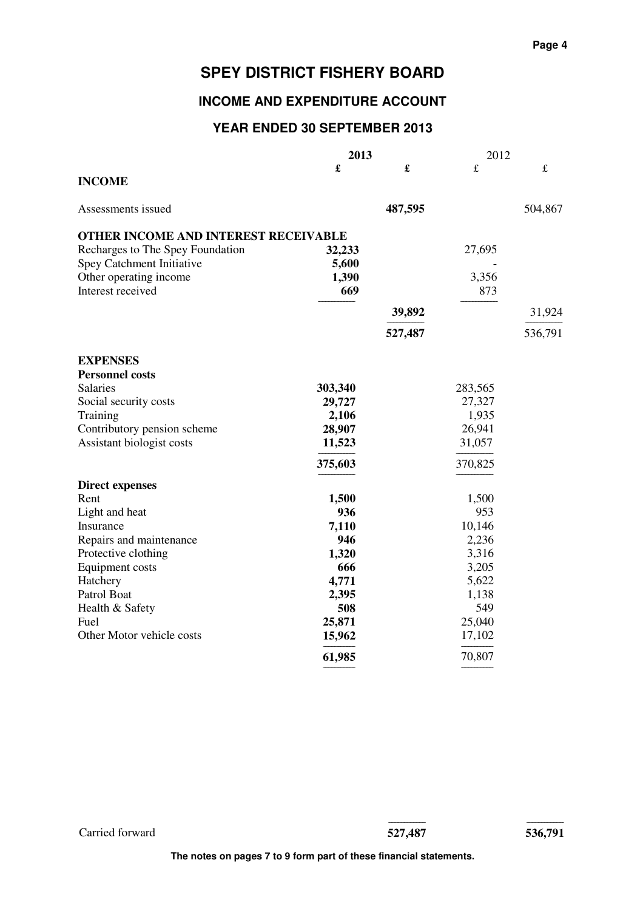## **INCOME AND EXPENDITURE ACCOUNT**

## **YEAR ENDED 30 SEPTEMBER 2013**

|                                      | 2013    |         | 2012        |           |
|--------------------------------------|---------|---------|-------------|-----------|
|                                      | £       | £       | $\mathbf f$ | $\pounds$ |
| <b>INCOME</b>                        |         |         |             |           |
| Assessments issued                   |         | 487,595 |             | 504,867   |
| OTHER INCOME AND INTEREST RECEIVABLE |         |         |             |           |
| Recharges to The Spey Foundation     | 32,233  |         | 27,695      |           |
| Spey Catchment Initiative            | 5,600   |         |             |           |
| Other operating income               | 1,390   |         | 3,356       |           |
| Interest received                    | 669     |         | 873         |           |
|                                      |         | 39,892  |             | 31,924    |
|                                      |         | 527,487 |             | 536,791   |
| <b>EXPENSES</b>                      |         |         |             |           |
| <b>Personnel costs</b>               |         |         |             |           |
| <b>Salaries</b>                      | 303,340 |         | 283,565     |           |
| Social security costs                | 29,727  |         | 27,327      |           |
| Training                             | 2,106   |         | 1,935       |           |
| Contributory pension scheme          | 28,907  |         | 26,941      |           |
| Assistant biologist costs            | 11,523  |         | 31,057      |           |
|                                      | 375,603 |         | 370,825     |           |
| <b>Direct expenses</b>               |         |         |             |           |
| Rent                                 | 1,500   |         | 1,500       |           |
| Light and heat                       | 936     |         | 953         |           |
| Insurance                            | 7,110   |         | 10,146      |           |
| Repairs and maintenance              | 946     |         | 2,236       |           |
| Protective clothing                  | 1,320   |         | 3,316       |           |
| Equipment costs                      | 666     |         | 3,205       |           |
| Hatchery                             | 4,771   |         | 5,622       |           |
| Patrol Boat                          | 2,395   |         | 1,138       |           |
| Health & Safety                      | 508     |         | 549         |           |
| Fuel                                 | 25,871  |         | 25,040      |           |
| Other Motor vehicle costs            | 15,962  |         | 17,102      |           |
|                                      | 61,985  |         | 70,807      |           |

Carried forward **527,487 536,791**

------------------------------- -------------------------------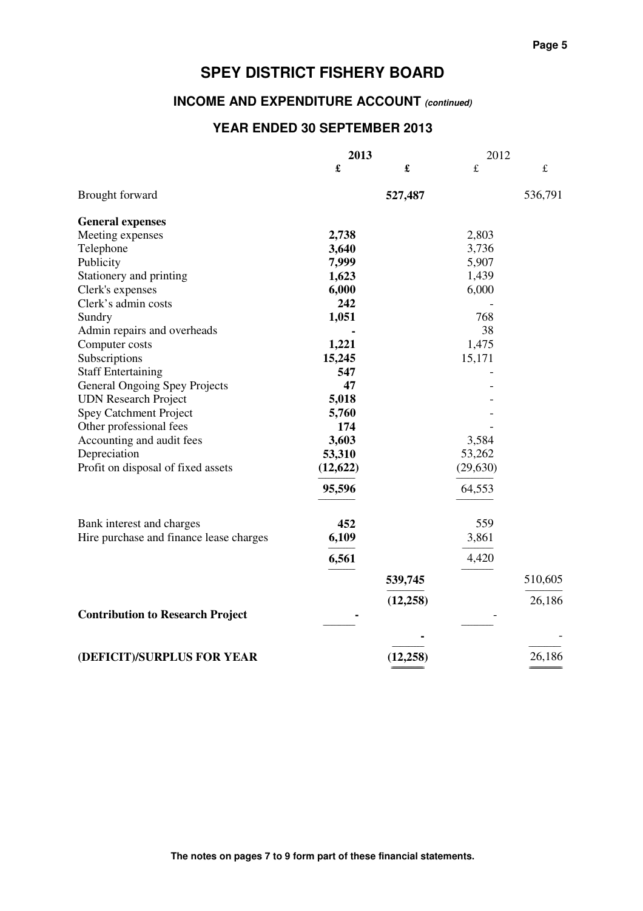# **INCOME AND EXPENDITURE ACCOUNT (continued)**

## **YEAR ENDED 30 SEPTEMBER 2013**

|                                         | 2013                 |           | 2012      |         |  |
|-----------------------------------------|----------------------|-----------|-----------|---------|--|
|                                         | $\pmb{\mathfrak{L}}$ | £         | £         | £       |  |
| Brought forward                         |                      | 527,487   |           | 536,791 |  |
| <b>General expenses</b>                 |                      |           |           |         |  |
| Meeting expenses                        | 2,738                |           | 2,803     |         |  |
| Telephone                               | 3,640                |           | 3,736     |         |  |
| Publicity                               | 7,999                |           | 5,907     |         |  |
| Stationery and printing                 | 1,623                |           | 1,439     |         |  |
| Clerk's expenses                        | 6,000                |           | 6,000     |         |  |
| Clerk's admin costs                     | 242                  |           |           |         |  |
| Sundry                                  | 1,051                |           | 768       |         |  |
| Admin repairs and overheads             |                      |           | 38        |         |  |
| Computer costs                          | 1,221                |           | 1,475     |         |  |
| Subscriptions                           | 15,245               |           | 15,171    |         |  |
| <b>Staff Entertaining</b>               | 547                  |           |           |         |  |
| General Ongoing Spey Projects           | 47                   |           |           |         |  |
| <b>UDN</b> Research Project             | 5,018                |           |           |         |  |
| Spey Catchment Project                  | 5,760                |           |           |         |  |
| Other professional fees                 | 174                  |           |           |         |  |
| Accounting and audit fees               | 3,603                |           | 3,584     |         |  |
| Depreciation                            | 53,310               |           | 53,262    |         |  |
| Profit on disposal of fixed assets      | (12, 622)            |           | (29, 630) |         |  |
|                                         | 95,596               |           | 64,553    |         |  |
|                                         | 452                  |           | 559       |         |  |
| Bank interest and charges               |                      |           |           |         |  |
| Hire purchase and finance lease charges | 6,109                |           | 3,861     |         |  |
|                                         | 6,561                |           | 4,420     |         |  |
|                                         |                      | 539,745   |           | 510,605 |  |
|                                         |                      | (12, 258) |           | 26,186  |  |
| <b>Contribution to Research Project</b> |                      |           |           |         |  |
|                                         |                      |           |           |         |  |
| (DEFICIT)/SURPLUS FOR YEAR              |                      | (12,258)  |           | 26,186  |  |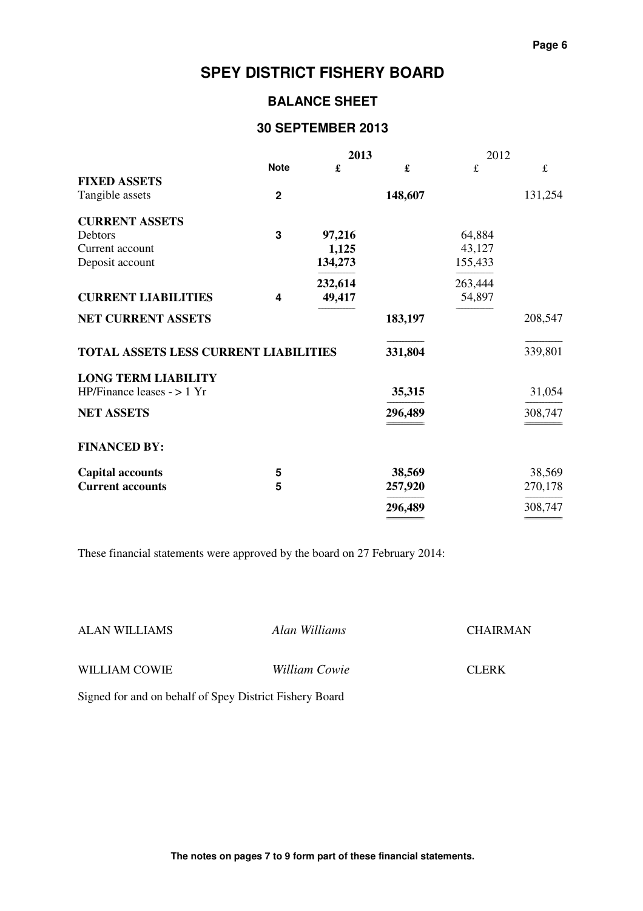## **BALANCE SHEET**

## **30 SEPTEMBER 2013**

|                                       | 2013         |         | 2012    |         |             |
|---------------------------------------|--------------|---------|---------|---------|-------------|
|                                       | <b>Note</b>  | £       | £       | £       | $\mathbf f$ |
| <b>FIXED ASSETS</b>                   |              |         |         |         |             |
| Tangible assets                       | $\mathbf{2}$ |         | 148,607 |         | 131,254     |
| <b>CURRENT ASSETS</b>                 |              |         |         |         |             |
| Debtors                               | $\mathbf{3}$ | 97,216  |         | 64,884  |             |
| Current account                       |              | 1,125   |         | 43,127  |             |
| Deposit account                       |              | 134,273 |         | 155,433 |             |
|                                       |              | 232,614 |         | 263,444 |             |
| <b>CURRENT LIABILITIES</b>            | 4            | 49,417  |         | 54,897  |             |
| <b>NET CURRENT ASSETS</b>             |              |         | 183,197 |         | 208,547     |
| TOTAL ASSETS LESS CURRENT LIABILITIES |              |         | 331,804 |         | 339,801     |
| <b>LONG TERM LIABILITY</b>            |              |         |         |         |             |
| HP/Finance leases $-$ > 1 Yr          |              |         | 35,315  |         | 31,054      |
| <b>NET ASSETS</b>                     |              |         | 296,489 |         | 308,747     |
|                                       |              |         |         |         |             |
| <b>FINANCED BY:</b>                   |              |         |         |         |             |
| <b>Capital accounts</b>               | 5            |         | 38,569  |         | 38,569      |
| <b>Current accounts</b>               | 5            |         | 257,920 |         | 270,178     |
|                                       |              |         | 296,489 |         | 308,747     |
|                                       |              |         |         |         |             |

These financial statements were approved by the board on 27 February 2014:

| <b>ALAN WILLIAMS</b>                                    | Alan Williams        | <b>CHAIRMAN</b> |
|---------------------------------------------------------|----------------------|-----------------|
| WILLIAM COWIE                                           | <i>William Cowie</i> | <b>CLERK</b>    |
| Signed for and on behalf of Spey District Fishery Board |                      |                 |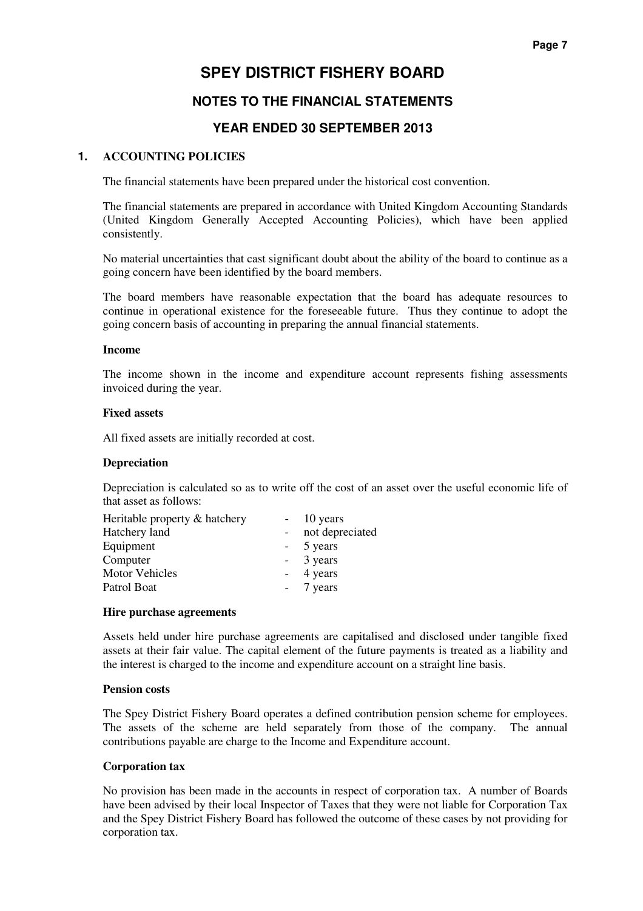## **NOTES TO THE FINANCIAL STATEMENTS**

## **YEAR ENDED 30 SEPTEMBER 2013**

#### **1. ACCOUNTING POLICIES**

The financial statements have been prepared under the historical cost convention.

 The financial statements are prepared in accordance with United Kingdom Accounting Standards (United Kingdom Generally Accepted Accounting Policies), which have been applied consistently.

 No material uncertainties that cast significant doubt about the ability of the board to continue as a going concern have been identified by the board members.

 The board members have reasonable expectation that the board has adequate resources to continue in operational existence for the foreseeable future. Thus they continue to adopt the going concern basis of accounting in preparing the annual financial statements.

#### **Income**

 The income shown in the income and expenditure account represents fishing assessments invoiced during the year.

#### **Fixed assets**

All fixed assets are initially recorded at cost.

#### **Depreciation**

 Depreciation is calculated so as to write off the cost of an asset over the useful economic life of that asset as follows:

| Heritable property & hatchery | $-10$ years     |
|-------------------------------|-----------------|
| Hatchery land                 | not depreciated |
| Equipment                     | - 5 years       |
| Computer                      | - 3 years       |
| <b>Motor Vehicles</b>         | - 4 years       |
| Patrol Boat                   | - 7 years       |

#### **Hire purchase agreements**

 Assets held under hire purchase agreements are capitalised and disclosed under tangible fixed assets at their fair value. The capital element of the future payments is treated as a liability and the interest is charged to the income and expenditure account on a straight line basis.

#### **Pension costs**

 The Spey District Fishery Board operates a defined contribution pension scheme for employees. The assets of the scheme are held separately from those of the company. The annual contributions payable are charge to the Income and Expenditure account.

#### **Corporation tax**

 No provision has been made in the accounts in respect of corporation tax. A number of Boards have been advised by their local Inspector of Taxes that they were not liable for Corporation Tax and the Spey District Fishery Board has followed the outcome of these cases by not providing for corporation tax.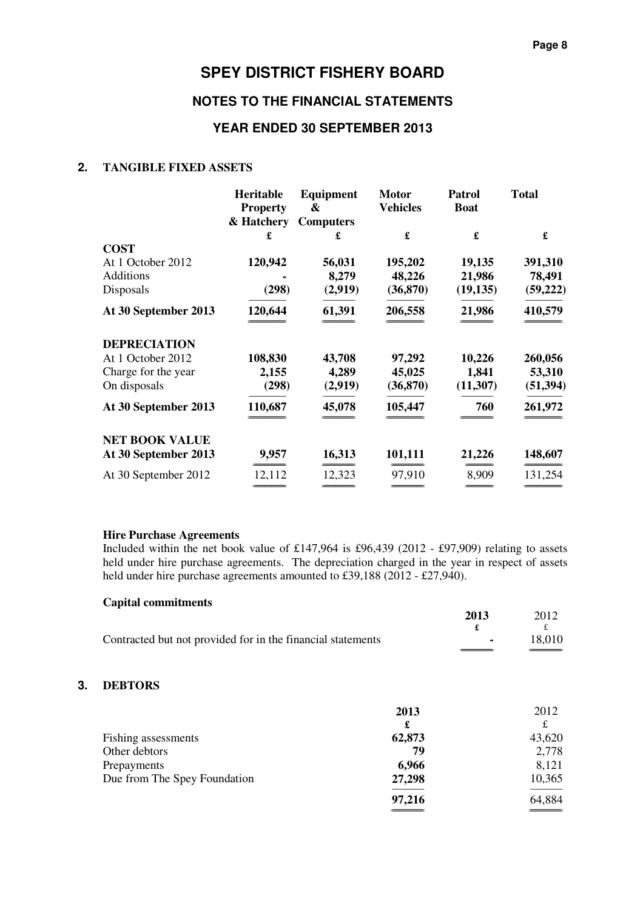## **NOTES TO THE FINANCIAL STATEMENTS**

#### **YEAR ENDED 30 SEPTEMBER 2013**

#### **2. TANGIBLE FIXED ASSETS**

|                       | Heritable       | Equipment        | <b>Motor</b>    | <b>Patrol</b> | <b>Total</b> |
|-----------------------|-----------------|------------------|-----------------|---------------|--------------|
|                       | <b>Property</b> | &                | <b>Vehicles</b> | <b>Boat</b>   |              |
|                       | & Hatchery      | <b>Computers</b> |                 |               |              |
|                       | £               | £                |                 | £             | £            |
| <b>COST</b>           |                 |                  |                 |               |              |
| At 1 October 2012     | 120,942         | 56,031           | 195,202         | 19,135        | 391,310      |
| <b>Additions</b>      |                 | 8,279            | 48,226          | 21,986        | 78,491       |
| Disposals             | (298)           | (2,919)          | (36, 870)       | (19, 135)     | (59, 222)    |
| At 30 September 2013  | 120,644         | 61,391           | 206,558         | 21,986        | 410,579      |
| <b>DEPRECIATION</b>   |                 |                  |                 |               |              |
| At 1 October 2012     | 108,830         | 43,708           | 97,292          | 10,226        | 260,056      |
| Charge for the year   | 2,155           | 4,289            | 45,025          | 1,841         | 53,310       |
| On disposals          | (298)           | (2,919)          | (36, 870)       | (11, 307)     | (51, 394)    |
| At 30 September 2013  | 110,687         | 45,078           | 105,447         | 760           | 261,972      |
| <b>NET BOOK VALUE</b> |                 |                  |                 |               |              |
| At 30 September 2013  | 9,957           | 16,313           | 101,111         | 21,226        | 148,607      |
| At 30 September 2012  | 12,112          | 12,323           | 97,910          | 8,909         | 131,254      |
|                       |                 |                  |                 |               |              |

#### **Hire Purchase Agreements**

**Capital commitments**

 Included within the net book value of £147,964 is £96,439 (2012 - £97,909) relating to assets held under hire purchase agreements. The depreciation charged in the year in respect of assets held under hire purchase agreements amounted to £39,188 (2012 - £27,940).

|                                                             | 2013            | 2012   |
|-------------------------------------------------------------|-----------------|--------|
|                                                             |                 |        |
| Contracted but not provided for in the financial statements | $\sim$ 10 $\pm$ | 18.010 |
|                                                             |                 |        |

### **3. DEBTORS**

|                              | 2013   | 2012   |
|------------------------------|--------|--------|
|                              | £      | £      |
| Fishing assessments          | 62,873 | 43,620 |
| Other debtors                | 79     | 2,778  |
| Prepayments                  | 6,966  | 8,121  |
| Due from The Spey Foundation | 27,298 | 10,365 |
|                              | 97,216 | 64,884 |
|                              |        |        |